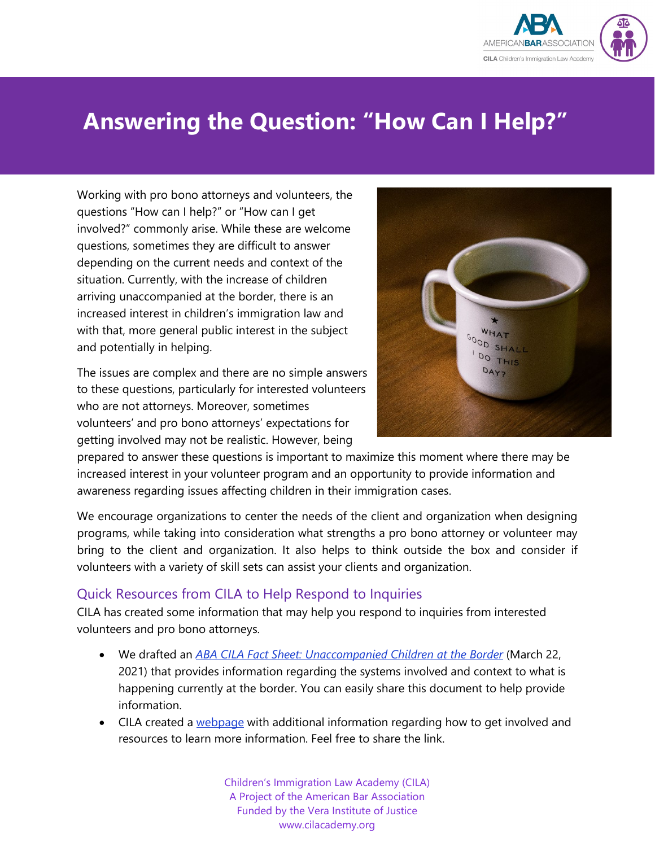

# **Answering the Question: "How Can I Help?"**

Working with pro bono attorneys and volunteers, the questions "How can I help?" or "How can I get involved?" commonly arise. While these are welcome questions, sometimes they are difficult to answer depending on the current needs and context of the situation. Currently, with the increase of children arriving unaccompanied at the border, there is an increased interest in children's immigration law and with that, more general public interest in the subject and potentially in helping.

The issues are complex and there are no simple answers to these questions, particularly for interested volunteers who are not attorneys. Moreover, sometimes volunteers' and pro bono attorneys' expectations for getting involved may not be realistic. However, being



prepared to answer these questions is important to maximize this moment where there may be increased interest in your volunteer program and an opportunity to provide information and awareness regarding issues affecting children in their immigration cases.

We encourage organizations to center the needs of the client and organization when designing programs, while taking into consideration what strengths a pro bono attorney or volunteer may bring to the client and organization. It also helps to think outside the box and consider if volunteers with a variety of skill sets can assist your clients and organization.

#### Quick Resources from CILA to Help Respond to Inquiries

CILA has created some information that may help you respond to inquiries from interested volunteers and pro bono attorneys.

- We drafted an *[ABA CILA Fact Sheet: Unaccompanied Children at the Border](https://cilacademy.org/wp-content/uploads/2021/03/2021.03.22-ABA-CILA-Fact-Sheet-Unaccompanied-Children-at-the-Border.pdf)* (March 22, 2021) that provides information regarding the systems involved and context to what is happening currently at the border. You can easily share this document to help provide information.
- CILA created a [webpage](https://cilacademy.org/get-involved/) with additional information regarding how to get involved and resources to learn more information. Feel free to share the link.

Children's Immigration Law Academy (CILA) A Project of the American Bar Association Funded by the Vera Institute of Justice www.cilacademy.org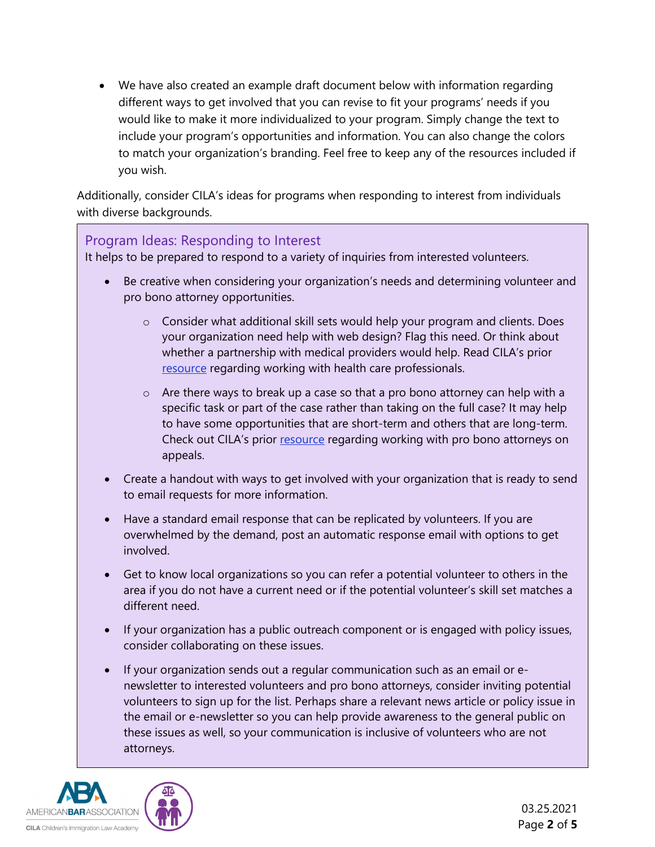• We have also created an example draft document below with information regarding different ways to get involved that you can revise to fit your programs' needs if you would like to make it more individualized to your program. Simply change the text to include your program's opportunities and information. You can also change the colors to match your organization's branding. Feel free to keep any of the resources included if you wish.

Additionally, consider CILA's ideas for programs when responding to interest from individuals with diverse backgrounds.

#### Program Ideas: Responding to Interest

It helps to be prepared to respond to a variety of inquiries from interested volunteers.

- Be creative when considering your organization's needs and determining volunteer and pro bono attorney opportunities.
	- $\circ$  Consider what additional skill sets would help your program and clients. Does your organization need help with web design? Flag this need. Or think about whether a partnership with medical providers would help. Read CILA's prior [resource](https://cilacademy.org/wp-content/uploads/2020/12/2020.12.29-CILA-Resource-Working-With-Other-Professionals-in-a-Pro-Bono-Capacity.pdf) regarding working with health care professionals.
	- $\circ$  Are there ways to break up a case so that a pro bono attorney can help with a specific task or part of the case rather than taking on the full case? It may help to have some opportunities that are short-term and others that are long-term. Check out CILA's prior [resource](https://cilacademy.org/wp-content/uploads/2020/07/Discrete-Part-of-Case-Catholic-Legal-Services-Miami-2-final.pdf) regarding working with pro bono attorneys on appeals.
- Create a handout with ways to get involved with your organization that is ready to send to email requests for more information.
- Have a standard email response that can be replicated by volunteers. If you are overwhelmed by the demand, post an automatic response email with options to get involved.
- Get to know local organizations so you can refer a potential volunteer to others in the area if you do not have a current need or if the potential volunteer's skill set matches a different need.
- If your organization has a public outreach component or is engaged with policy issues, consider collaborating on these issues.
- If your organization sends out a regular communication such as an email or enewsletter to interested volunteers and pro bono attorneys, consider inviting potential volunteers to sign up for the list. Perhaps share a relevant news article or policy issue in the email or e-newsletter so you can help provide awareness to the general public on these issues as well, so your communication is inclusive of volunteers who are not attorneys.

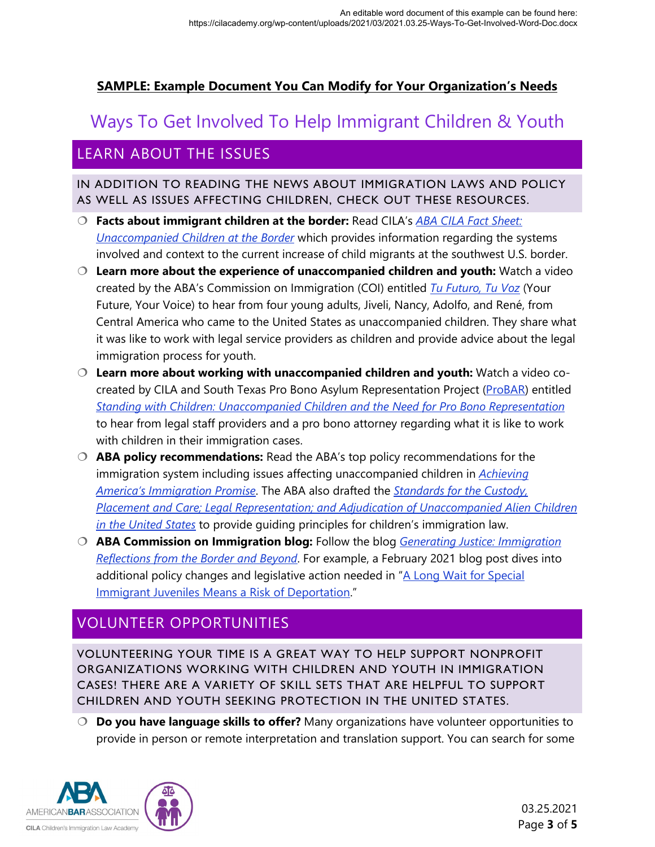#### **SAMPLE: Example Document You Can Modify for Your Organization's Needs**

# Ways To Get Involved To Help Immigrant Children & Youth

### LEARN ABOUT THE ISSUES

#### IN ADDITION TO READING THE NEWS ABOUT IMMIGRATION LAWS AND POLICY AS WELL AS ISSUES AFFECTING CHILDREN, CHECK OUT THESE RESOURCES.

- **Facts about immigrant children at the border:** Read CILA's *[ABA CILA Fact Sheet:](https://cilacademy.org/wp-content/uploads/2021/03/2021.03.22-ABA-CILA-Fact-Sheet-Unaccompanied-Children-at-the-Border.pdf)  [Unaccompanied Children at the Border](https://cilacademy.org/wp-content/uploads/2021/03/2021.03.22-ABA-CILA-Fact-Sheet-Unaccompanied-Children-at-the-Border.pdf)* which provides information regarding the systems involved and context to the current increase of child migrants at the southwest U.S. border.
- **Learn more about the experience of unaccompanied children and youth:** Watch a video created by the ABA's Commission on Immigration (COI) entitled *[Tu Futuro, Tu Voz](https://cilacademy.org/2020/05/12/tu-futuro-tu-voz-your-future-your-voice-a-video-by-youth-for-youth/)* (Your Future, Your Voice) to hear from four young adults, Jiveli, Nancy, Adolfo, and René, from Central America who came to the United States as unaccompanied children. They share what it was like to work with legal service providers as children and provide advice about the legal immigration process for youth.
- **Learn more about working with unaccompanied children and youth:** Watch a video co-created by CILA and South Texas Pro Bono Asylum Representation Project [\(ProBAR\)](https://www.americanbar.org/groups/public_interest/immigration/projects_initiatives/south_texas_pro_bono_asylum_representation_project_probar/) entitled *[Standing with Children: Unaccompanied Children and the Need for Pro Bono Representation](https://www.youtube.com/watch?v=9LhW4RtTpPs&t=6s)* to hear from legal staff providers and a pro bono attorney regarding what it is like to work with children in their immigration cases.
- **ABA policy recommendations:** Read the ABA's top policy recommendations for the immigration system including issues affecting unaccompanied children in *[Achieving](https://www.americanbar.org/content/dam/aba/administrative/immigration/achieving_americas_immigration_promise.pdf)  [America's Immigration Promise](https://www.americanbar.org/content/dam/aba/administrative/immigration/achieving_americas_immigration_promise.pdf)*. The ABA also drafted the *[Standards for the Custody,](https://www.americanbar.org/content/dam/aba/publications/commission_on_immigration/standards_for_children_2018.pdf)  [Placement and Care; Legal Representation; and Adjudication of Unaccompanied Alien Children](https://www.americanbar.org/content/dam/aba/publications/commission_on_immigration/standards_for_children_2018.pdf)  [in the United States](https://www.americanbar.org/content/dam/aba/publications/commission_on_immigration/standards_for_children_2018.pdf)* to provide guiding principles for children's immigration law.
- **ABA Commission on Immigration blog:** Follow the blog *[Generating Justice: Immigration](https://www.americanbar.org/groups/public_interest/immigration/generating_justice_blog/)  [Reflections from the Border and Beyond](https://www.americanbar.org/groups/public_interest/immigration/generating_justice_blog/)*. For example, a February 2021 blog post dives into additional policy changes and legislative action needed in ["A Long Wait for Special](https://www.americanbar.org/groups/public_interest/immigration/generating_justice_blog/a-long-wait-for-special-immigrant-juveniles-means-a-risk-of-depo/)  [Immigrant Juveniles Means a Risk of Deportation.](https://www.americanbar.org/groups/public_interest/immigration/generating_justice_blog/a-long-wait-for-special-immigrant-juveniles-means-a-risk-of-depo/)"

### VOLUNTEER OPPORTUNITIES

VOLUNTEERING YOUR TIME IS A GREAT WAY TO HELP SUPPORT NONPROFIT ORGANIZATIONS WORKING WITH CHILDREN AND YOUTH IN IMMIGRATION CASES! THERE ARE A VARIETY OF SKILL SETS THAT ARE HELPFUL TO SUPPORT CHILDREN AND YOUTH SEEKING PROTECTION IN THE UNITED STATES.

 **Do you have language skills to offer?** Many organizations have volunteer opportunities to provide in person or remote interpretation and translation support. You can search for some

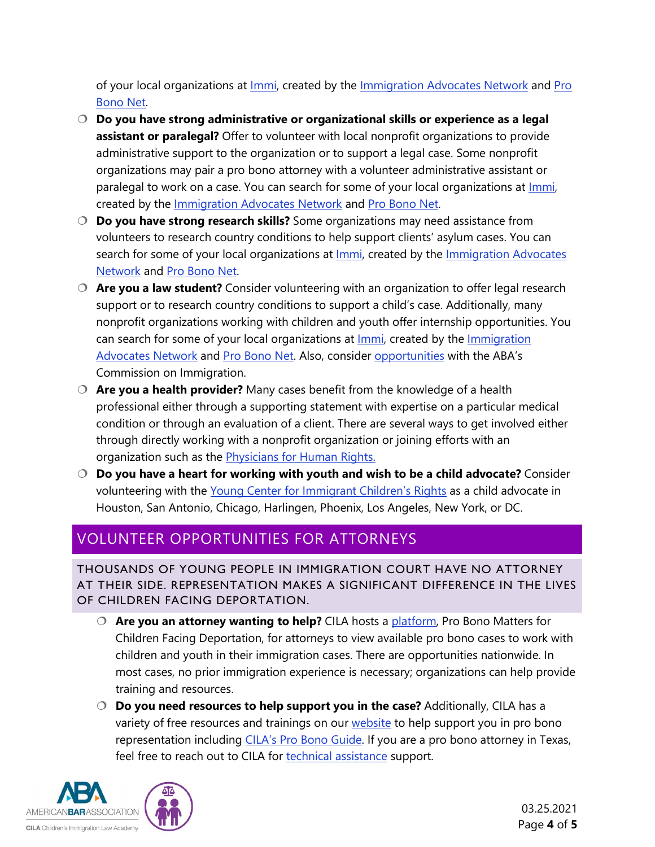of your local organizations at *Immi*, created by the *Immigration Advocates Network* and *Pro* [Bono Net.](https://www.probono.net/)

- **Do you have strong administrative or organizational skills or experience as a legal assistant or paralegal?** Offer to volunteer with local nonprofit organizations to provide administrative support to the organization or to support a legal case. Some nonprofit organizations may pair a pro bono attorney with a volunteer administrative assistant or paralegal to work on a case. You can search for some of your local organizations at *Immi*, created by the [Immigration Advocates Network](https://www.immigrationadvocates.org/) and [Pro Bono Net.](https://www.probono.net/)
- **Do you have strong research skills?** Some organizations may need assistance from volunteers to research country conditions to help support clients' asylum cases. You can search for some of your local organizations at *Immi*, created by the *Immigration Advocates* [Network](https://www.immigrationadvocates.org/) and [Pro Bono Net.](https://www.probono.net/)
- **Are you a law student?** Consider volunteering with an organization to offer legal research support or to research country conditions to support a child's case. Additionally, many nonprofit organizations working with children and youth offer internship opportunities. You can search for some of your local organizations at **Immi**, created by the *Immigration* [Advocates Network](https://www.immigrationadvocates.org/) and [Pro Bono Net.](https://www.probono.net/) Also, consider [opportunities](https://www.americanbar.org/groups/public_interest/immigration/job-and-volunteer-opportunities-/) with the ABA's Commission on Immigration.
- **Are you a health provider?** Many cases benefit from the knowledge of a health professional either through a supporting statement with expertise on a particular medical condition or through an evaluation of a client. There are several ways to get involved either through directly working with a nonprofit organization or joining efforts with an organization such as the **Physicians for Human Rights.**
- **Do you have a heart for working with youth and wish to be a child advocate?** Consider volunteering with the [Young Center for Immigrant Children's Rights](https://www.theyoungcenter.org/volunteer-at-the-young-center) as a child advocate in Houston, San Antonio, Chicago, Harlingen, Phoenix, Los Angeles, New York, or DC.

## VOLUNTEER OPPORTUNITIES FOR ATTORNEYS

THOUSANDS OF YOUNG PEOPLE IN IMMIGRATION COURT HAVE NO ATTORNEY AT THEIR SIDE. REPRESENTATION MAKES A SIGNIFICANT DIFFERENCE IN THE LIVES OF CHILDREN FACING DEPORTATION.

- **Are you an attorney wanting to help?** CILA hosts a [platform,](https://cilacademy.org/pro-bono/pro-bono-matters/) Pro Bono Matters for Children Facing Deportation, for attorneys to view available pro bono cases to work with children and youth in their immigration cases. There are opportunities nationwide. In most cases, no prior immigration experience is necessary; organizations can help provide training and resources.
- **Do you need resources to help support you in the case?** Additionally, CILA has a variety of free resources and trainings on our [website](https://cilacademy.org/) to help support you in pro bono representation including [CILA's Pro Bono Guide.](https://cilacademy.org/wp-content/uploads/2020/11/2020.08.20-CILA-Pro-Bono-Guide.pdf) If you are a pro bono attorney in Texas, feel free to reach out to CILA for [technical assistance](https://cilacademy.org/request-assistance/) support.